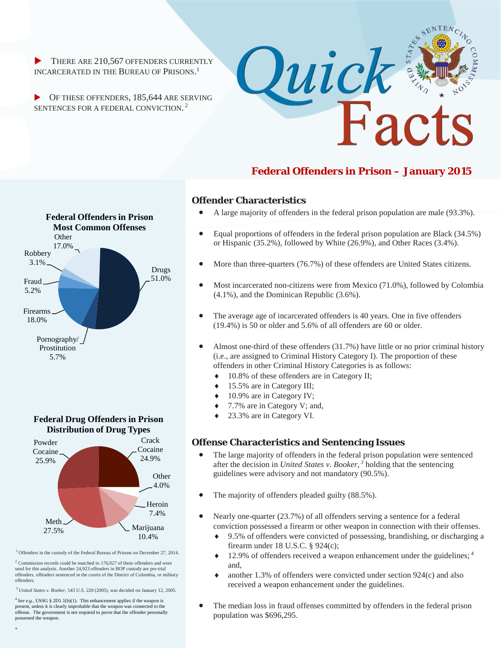$\blacktriangleright$  THERE ARE 210,567 OFFENDERS CURRENTLY INCARCERATED IN THE BUREAU OF PRISONS. 1

OF THESE OFFENDERS, 185,644 ARE SERVING SENTENCES FOR A FEDERAL CONVICTION. <sup>2</sup>



# **Federal Offenders in Prison – January 2015**

## Firearms 18.0% Fraud 5.2% Robbery 3.1% **Other**  $17.0\%$ Drugs 51.0% Pornography/ Prostitution 5.7% **Federal Offenders in Prison Most Common Offenses**

**Federal Drug Offenders in Prison Distribution of Drug Types**



<sup>1</sup> Offenders in the custody of the Federal Bureau of Prisons on December 27, 2014.

 $2$  Commission records could be matched to 176,027 of these offenders and were used for this analysis. Another 24,923 offenders in BOP custody are pre-trial offenders, offenders sentenced in the courts of the District of Columbia, or military offenders.

<sup>3</sup>*United States v. Booker*, 543 U.S. 220 (2005), was decided on January 12, 2005.

 $4$  See e.g., USSG § 2D1.1(b)(1). This enhancement applies if the weapon is present, unless it is clearly improbable that the weapon was connected to the offense. The government is not required to prove that the offender personally possessed the weapon.

\*

### **Offender Characteristics**

- A large majority of offenders in the federal prison population are male (93.3%).
- Equal proportions of offenders in the federal prison population are Black (34.5%) or Hispanic (35.2%), followed by White (26.9%), and Other Races (3.4%).
- More than three-quarters (76.7%) of these offenders are United States citizens.
- Most incarcerated non-citizens were from Mexico (71.0%), followed by Colombia (4.1%), and the Dominican Republic (3.6%).
- The average age of incarcerated offenders is 40 years. One in five offenders (19.4%) is 50 or older and 5.6% of all offenders are 60 or older.
- Almost one-third of these offenders (31.7%) have little or no prior criminal history (i.e., are assigned to Criminal History Category I). The proportion of these offenders in other Criminal History Categories is as follows:
	- $\triangleleft$  10.8% of these offenders are in Category II;
	- 15.5% are in Category III;
	- 10.9% are in Category IV;
	- 7.7% are in Category V; and,
	- 23.3% are in Category VI.

### **Offense Characteristics and Sentencing Issues**

- The large majority of offenders in the federal prison population were sentenced after the decision in *United States v. Booker, <sup>3</sup>* holding that the sentencing guidelines were advisory and not mandatory (90.5%).
- The majority of offenders pleaded guilty (88.5%).
- Nearly one-quarter (23.7%) of all offenders serving a sentence for a federal conviction possessed a firearm or other weapon in connection with their offenses.
	- 9.5% of offenders were convicted of possessing, brandishing, or discharging a firearm under 18 U.S.C. § 924(c);
	- $12.9\%$  of offenders received a weapon enhancement under the guidelines;  $4$ and,
	- another  $1.3\%$  of offenders were convicted under section  $924(c)$  and also received a weapon enhancement under the guidelines.
- The median loss in fraud offenses committed by offenders in the federal prison population was \$696,295.